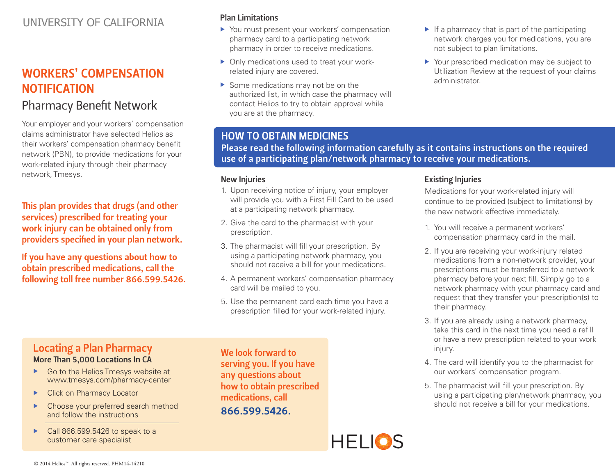## UNIVERSITY OF CALIFORNIA

# WORKERS' COMPENSATION **NOTIFICATION**

# Pharmacy Benefit Network

Your employer and your workers' compensation claims administrator have selected Helios as their workers' compensation pharmacy benefit network (PBN), to provide medications for your work-related injury through their pharmacy network, Tmesys.

This plan provides that drugs (and other services) prescribed for treating your work injury can be obtained only from providers specified in your plan network.

If you have any questions about how to obtain prescribed medications, call the following toll free number 866.599.5426.

#### Plan Limitations

- $\triangleright$  You must present your workers' compensation pharmacy card to a participating network pharmacy in order to receive medications.
- $\triangleright$  Only medications used to treat your workrelated injury are covered.
- $\triangleright$  Some medications may not be on the authorized list, in which case the pharmacy will contact Helios to try to obtain approval while you are at the pharmacy.
- $\blacktriangleright$  If a pharmacy that is part of the participating network charges you for medications, you are not subject to plan limitations.
- $\triangleright$  Your prescribed medication may be subject to Utilization Review at the request of your claims administrator.

## HOW TO OBTAIN MEDICINES

Please read the following information carefully as it contains instructions on the required use of a participating plan/network pharmacy to receive your medications.

Existing Injuries

their pharmacy.

#### New Injuries

- 1. Upon receiving notice of injury, your employer will provide you with a First Fill Card to be used at a participating network pharmacy.
- 2. Give the card to the pharmacist with your prescription.
- 3. The pharmacist will fill your prescription. By using a participating network pharmacy, you should not receive a bill for your medications.
- 4. A permanent workers' compensation pharmacy card will be mailed to you.
- 5. Use the permanent card each time you have a prescription filled for your work-related injury.

### Locating a Plan Pharmacy More Than 5,000 Locations In CA

- $\triangleright$  Go to the Helios Tmesys website at www.tmesys.com/pharmacy-center
- **EX Click on Pharmacy Locator**
- Choose your preferred search method and follow the instructions
- $\triangleright$  Call 866.599.5426 to speak to a customer care specialist

We look forward to serving you. If you have any questions about how to obtain prescribed medications, call 866.599.5426.

2. If you are receiving your work-injury related medications from a non-network provider, your prescriptions must be transferred to a network pharmacy before your next fill. Simply go to a network pharmacy with your pharmacy card and request that they transfer your prescription(s) to

Medications for your work-related injury will continue to be provided (subject to limitations) by

the new network effective immediately.

1. You will receive a permanent workers' compensation pharmacy card in the mail.

- 3. If you are already using a network pharmacy, take this card in the next time you need a refill or have a new prescription related to your work injury.
- 4. The card will identify you to the pharmacist for our workers' compensation program.
- 5. The pharmacist will fill your prescription. By using a participating plan/network pharmacy, you should not receive a bill for your medications.